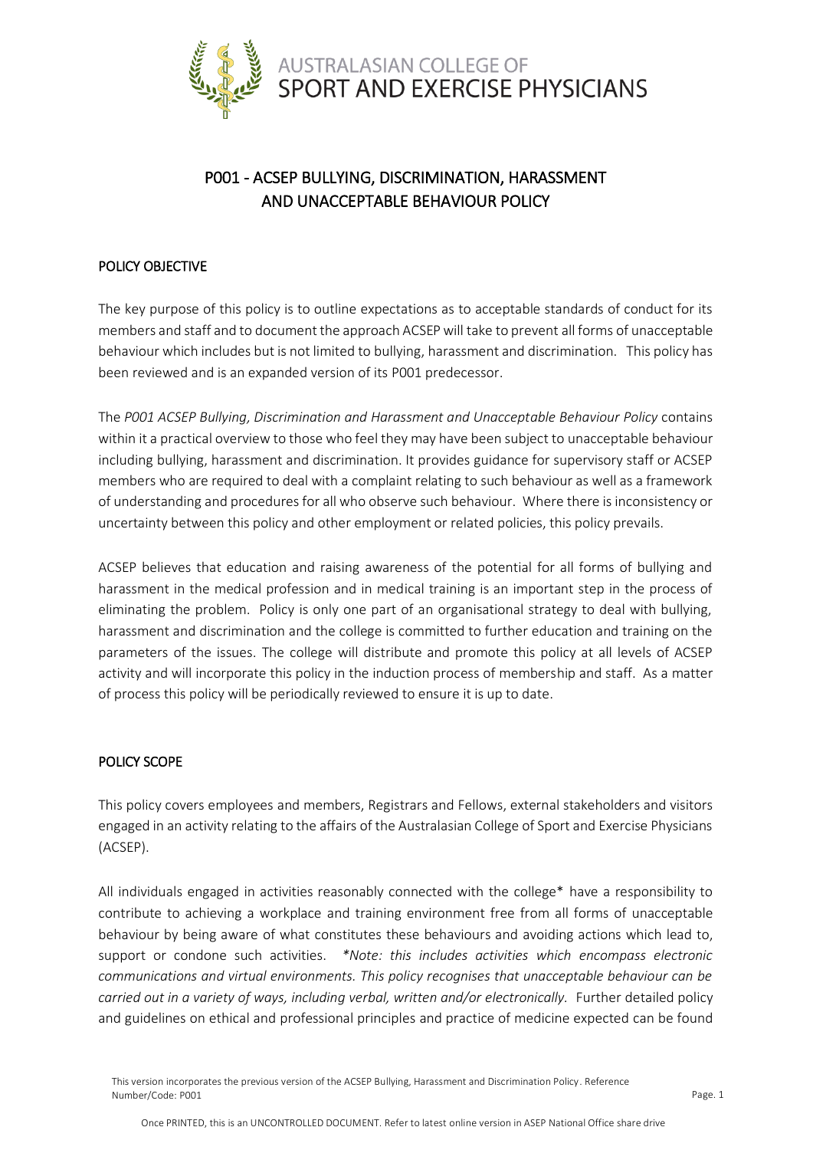

# P001 - ACSEP BULLYING, DISCRIMINATION, HARASSMENT AND UNACCEPTABLE BEHAVIOUR POLICY

# POLICY OBJECTIVE

The key purpose of this policy is to outline expectations as to acceptable standards of conduct for its members and staff and to document the approach ACSEP will take to prevent all forms of unacceptable behaviour which includes but is not limited to bullying, harassment and discrimination. This policy has been reviewed and is an expanded version of its P001 predecessor.

The *P001 ACSEP Bullying, Discrimination and Harassment and Unacceptable Behaviour Policy* contains within it a practical overview to those who feel they may have been subject to unacceptable behaviour including bullying, harassment and discrimination. It provides guidance for supervisory staff or ACSEP members who are required to deal with a complaint relating to such behaviour as well as a framework of understanding and procedures for all who observe such behaviour. Where there is inconsistency or uncertainty between this policy and other employment or related policies, this policy prevails.

ACSEP believes that education and raising awareness of the potential for all forms of bullying and harassment in the medical profession and in medical training is an important step in the process of eliminating the problem. Policy is only one part of an organisational strategy to deal with bullying, harassment and discrimination and the college is committed to further education and training on the parameters of the issues. The college will distribute and promote this policy at all levels of ACSEP activity and will incorporate this policy in the induction process of membership and staff. As a matter of process this policy will be periodically reviewed to ensure it is up to date.

## POLICY SCOPE

This policy covers employees and members, Registrars and Fellows, external stakeholders and visitors engaged in an activity relating to the affairs of the Australasian College of Sport and Exercise Physicians (ACSEP).

All individuals engaged in activities reasonably connected with the college\* have a responsibility to contribute to achieving a workplace and training environment free from all forms of unacceptable behaviour by being aware of what constitutes these behaviours and avoiding actions which lead to, support or condone such activities. *\*Note: this includes activities which encompass electronic communications and virtual environments. This policy recognises that unacceptable behaviour can be*  carried out in a variety of ways, including verbal, written and/or electronically. Further detailed policy and guidelines on ethical and professional principles and practice of medicine expected can be found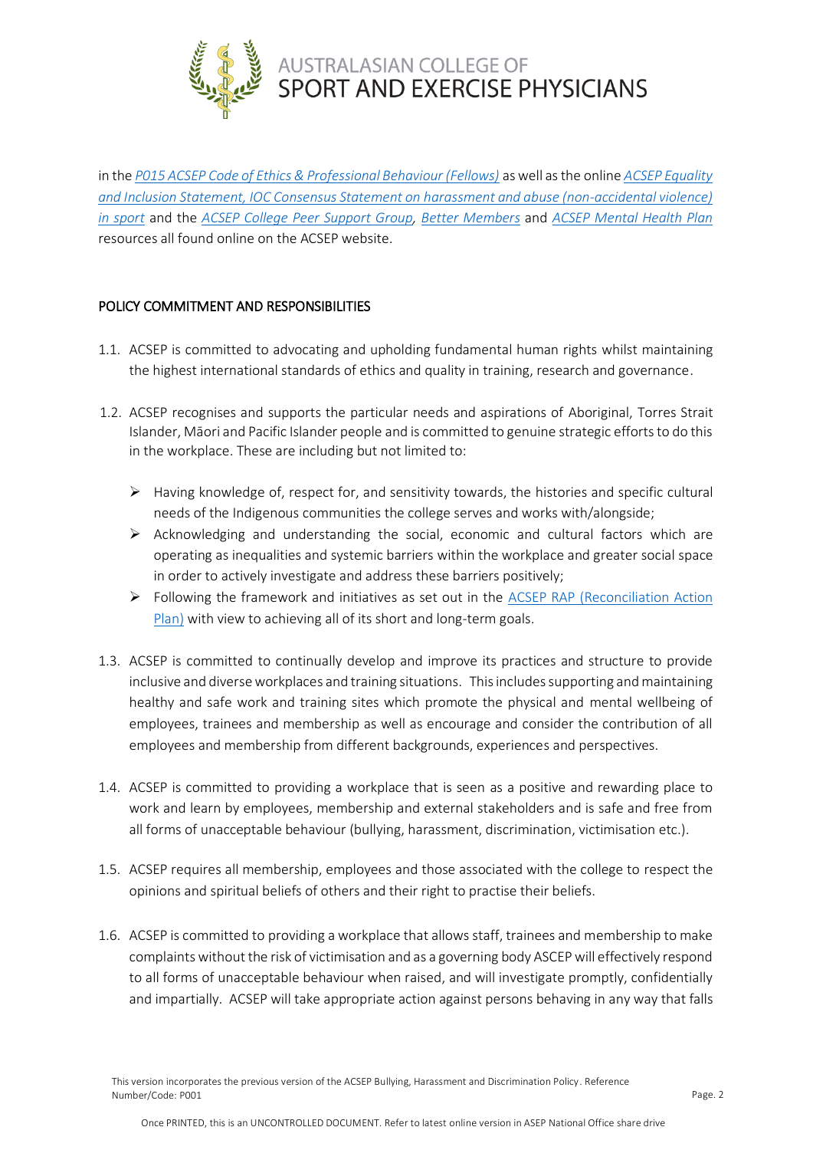

in the *[P015 ACSEP Code of Ethics & Professional Behaviour \(Fellows\)](http://www.acsep.org.au/content/Document/P015%20Code%20of%20Ethics%20%26%20Professional%20Behaviour.pdf)* as well as the online *ACSEP [Equality](https://www.acsep.org.au/page/news/equality-and-inclusion-statement)  and Inclusion Statement, [IOC Consensus Statement on harassment and abuse \(non-accidental violence\)](https://www.acsep.org.au/page/news/equality-and-inclusion-statement)  [in sport](https://www.acsep.org.au/page/news/equality-and-inclusion-statement)* and the *[ACSEP College Peer Support Group,](https://www.acsep.org.au/page/better-members/college-peer-support) [Better Members](https://www.acsep.org.au/page/better-members)* and *[ACSEP Mental Health](https://www.acsep.org.au/page/resources/mental-health) Plan* resources all found online on the ACSEP website.

## POLICY COMMITMENT AND RESPONSIBILITIES

- 1.1. ACSEP is committed to advocating and upholding fundamental human rights whilst maintaining the highest international standards of ethics and quality in training, research and governance.
- 1.2. ACSEP recognises and supports the particular needs and aspirations of Aboriginal, Torres Strait Islander, Māori and Pacific Islander people and is committed to genuine strategic efforts to do this in the workplace. These are including but not limited to:
	- $\triangleright$  Having knowledge of, respect for, and sensitivity towards, the histories and specific cultural needs of the Indigenous communities the college serves and works with/alongside;
	- ➢ Acknowledging and understanding the social, economic and cultural factors which are operating as inequalities and systemic barriers within the workplace and greater social space in order to actively investigate and address these barriers positively;
	- ➢ Following the framework and initiatives as set out in the [ACSEP RAP \(Reconciliation Action](http://www.acsep.org.au/content/Document/ACSEP%20RAP%2017-18.pdf)  [Plan\)](http://www.acsep.org.au/content/Document/ACSEP%20RAP%2017-18.pdf) with view to achieving all of its short and long-term goals.
- 1.3. ACSEP is committed to continually develop and improve its practices and structure to provide inclusive and diverse workplaces and training situations. This includes supporting and maintaining healthy and safe work and training sites which promote the physical and mental wellbeing of employees, trainees and membership as well as encourage and consider the contribution of all employees and membership from different backgrounds, experiences and perspectives.
- 1.4. ACSEP is committed to providing a workplace that is seen as a positive and rewarding place to work and learn by employees, membership and external stakeholders and is safe and free from all forms of unacceptable behaviour (bullying, harassment, discrimination, victimisation etc.).
- 1.5. ACSEP requires all membership, employees and those associated with the college to respect the opinions and spiritual beliefs of others and their right to practise their beliefs.
- 1.6. ACSEP is committed to providing a workplace that allows staff, trainees and membership to make complaints without the risk of victimisation and as a governing body ASCEP will effectively respond to all forms of unacceptable behaviour when raised, and will investigate promptly, confidentially and impartially. ACSEP will take appropriate action against persons behaving in any way that falls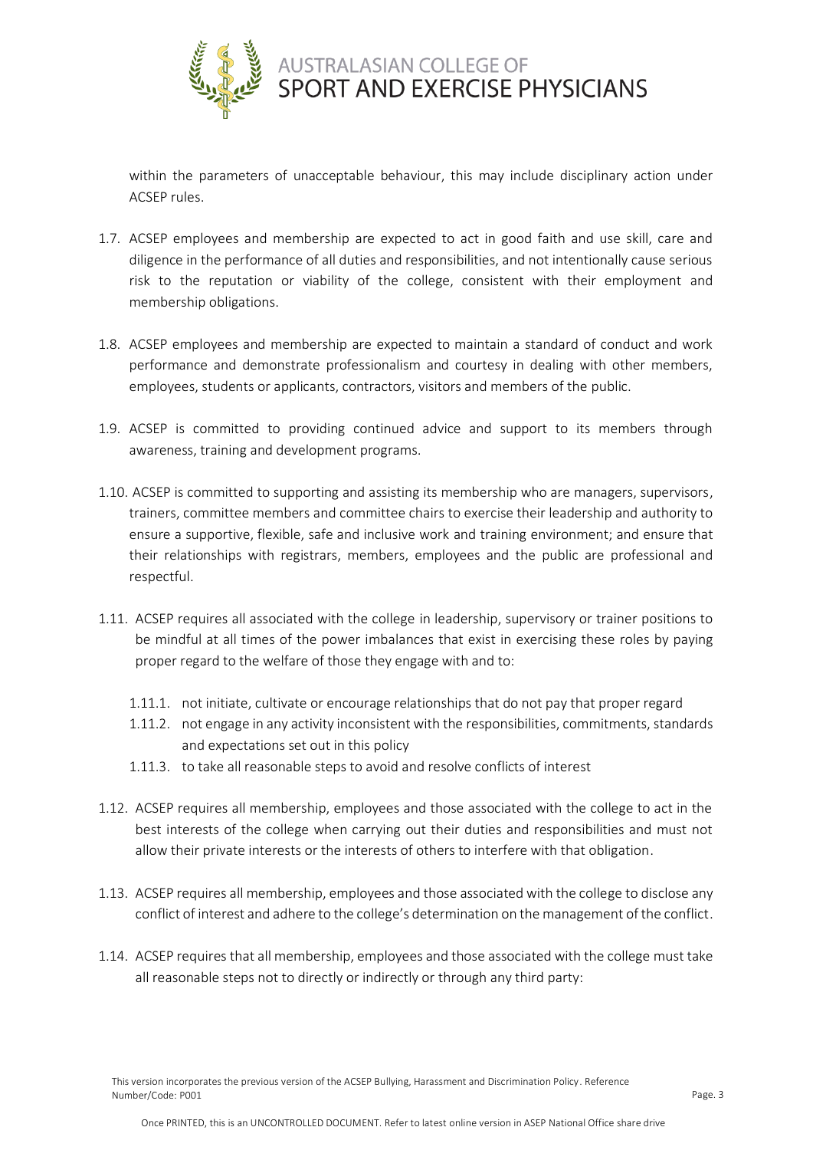

within the parameters of unacceptable behaviour, this may include disciplinary action under ACSEP rules.

- 1.7. ACSEP employees and membership are expected to act in good faith and use skill, care and diligence in the performance of all duties and responsibilities, and not intentionally cause serious risk to the reputation or viability of the college, consistent with their employment and membership obligations.
- 1.8. ACSEP employees and membership are expected to maintain a standard of conduct and work performance and demonstrate professionalism and courtesy in dealing with other members, employees, students or applicants, contractors, visitors and members of the public.
- 1.9. ACSEP is committed to providing continued advice and support to its members through awareness, training and development programs.
- 1.10. ACSEP is committed to supporting and assisting its membership who are managers, supervisors, trainers, committee members and committee chairs to exercise their leadership and authority to ensure a supportive, flexible, safe and inclusive work and training environment; and ensure that their relationships with registrars, members, employees and the public are professional and respectful.
- 1.11. ACSEP requires all associated with the college in leadership, supervisory or trainer positions to be mindful at all times of the power imbalances that exist in exercising these roles by paying proper regard to the welfare of those they engage with and to:
	- 1.11.1. not initiate, cultivate or encourage relationships that do not pay that proper regard
	- 1.11.2. not engage in any activity inconsistent with the responsibilities, commitments, standards and expectations set out in this policy
	- 1.11.3. to take all reasonable steps to avoid and resolve conflicts of interest
- 1.12. ACSEP requires all membership, employees and those associated with the college to act in the best interests of the college when carrying out their duties and responsibilities and must not allow their private interests or the interests of others to interfere with that obligation.
- 1.13. ACSEP requires all membership, employees and those associated with the college to disclose any conflict of interest and adhere to the college's determination on the management of the conflict.
- 1.14. ACSEP requires that all membership, employees and those associated with the college must take all reasonable steps not to directly or indirectly or through any third party: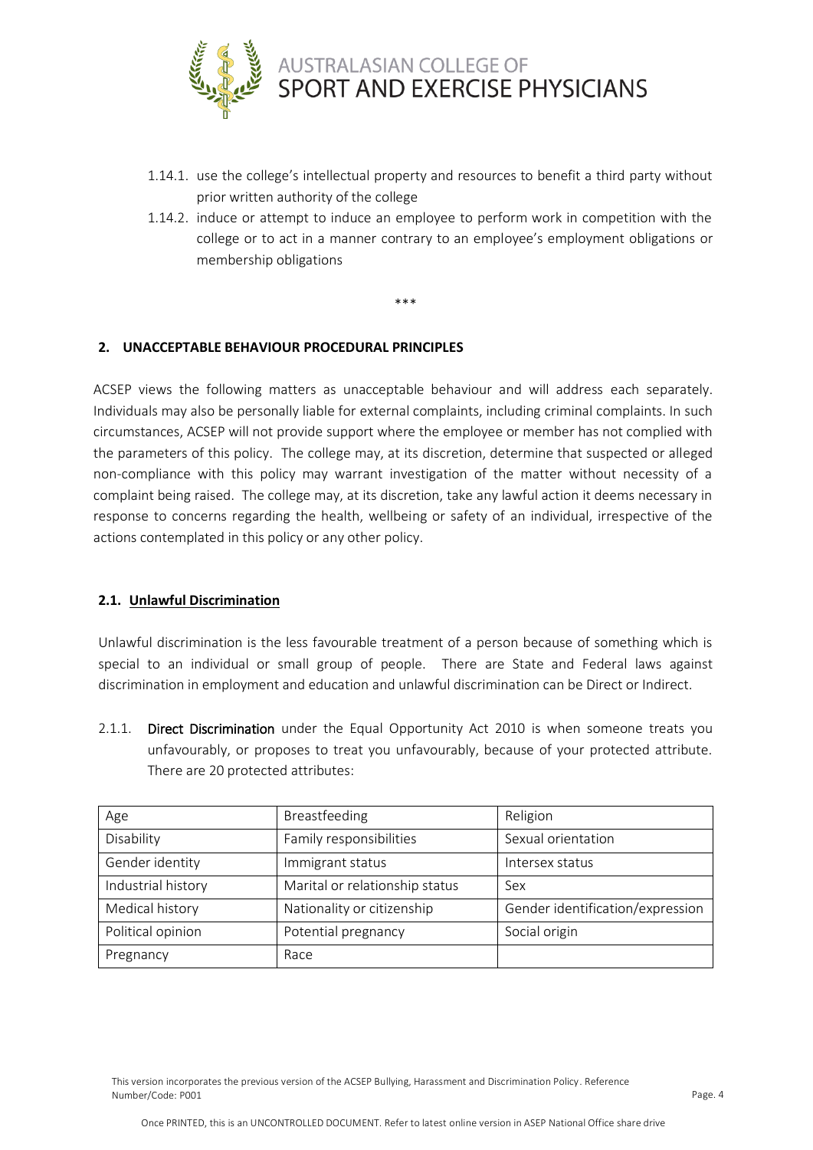

- 1.14.1. use the college's intellectual property and resources to benefit a third party without prior written authority of the college
- 1.14.2. induce or attempt to induce an employee to perform work in competition with the college or to act in a manner contrary to an employee's employment obligations or membership obligations

## **2. UNACCEPTABLE BEHAVIOUR PROCEDURAL PRINCIPLES**

ACSEP views the following matters as unacceptable behaviour and will address each separately. Individuals may also be personally liable for external complaints, including criminal complaints. In such circumstances, ACSEP will not provide support where the employee or member has not complied with the parameters of this policy. The college may, at its discretion, determine that suspected or alleged non-compliance with this policy may warrant investigation of the matter without necessity of a complaint being raised. The college may, at its discretion, take any lawful action it deems necessary in response to concerns regarding the health, wellbeing or safety of an individual, irrespective of the actions contemplated in this policy or any other policy.

\*\*\*

#### **2.1. Unlawful Discrimination**

Unlawful discrimination is the less favourable treatment of a person because of something which is special to an individual or small group of people. There are State and Federal laws against discrimination in employment and education and unlawful discrimination can be Direct or Indirect.

2.1.1. Direct Discrimination under the Equal Opportunity Act 2010 is when someone treats you unfavourably, or proposes to treat you unfavourably, because of your protected attribute. There are 20 protected attributes:

| Age                | Breastfeeding                  | Religion                         |
|--------------------|--------------------------------|----------------------------------|
| Disability         | Family responsibilities        | Sexual orientation               |
| Gender identity    | Immigrant status               | Intersex status                  |
| Industrial history | Marital or relationship status | Sex                              |
| Medical history    | Nationality or citizenship     | Gender identification/expression |
| Political opinion  | Potential pregnancy            | Social origin                    |
| Pregnancy          | Race                           |                                  |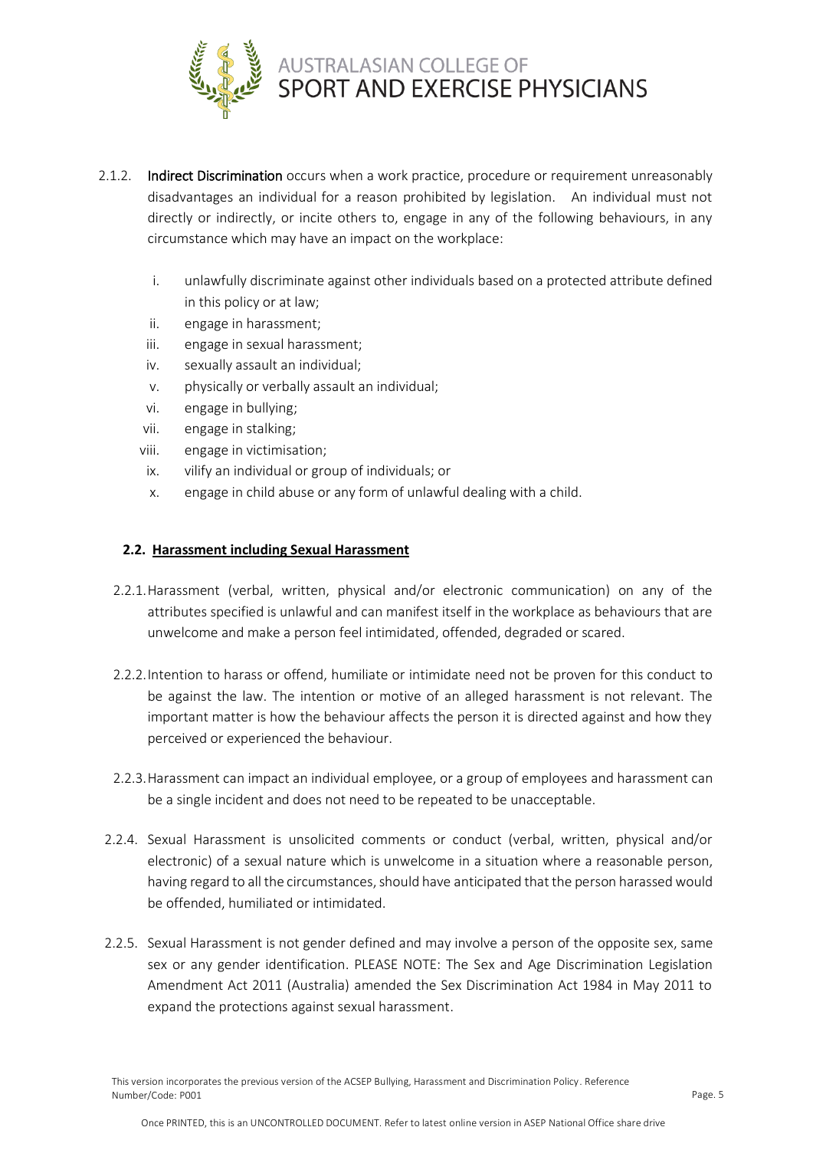

- 2.1.2. Indirect Discrimination occurs when a work practice, procedure or requirement unreasonably disadvantages an individual for a reason prohibited by legislation. An individual must not directly or indirectly, or incite others to, engage in any of the following behaviours, in any circumstance which may have an impact on the workplace:
	- i. unlawfully discriminate against other individuals based on a protected attribute defined in this policy or at law;
	- ii. engage in harassment;
	- iii. engage in sexual harassment;
	- iv. sexually assault an individual;
	- v. physically or verbally assault an individual;
	- vi. engage in bullying;
	- vii. engage in stalking;
	- viii. engage in victimisation;
	- ix. vilify an individual or group of individuals; or
	- x. engage in child abuse or any form of unlawful dealing with a child.

## **2.2. Harassment including Sexual Harassment**

- 2.2.1.Harassment (verbal, written, physical and/or electronic communication) on any of the attributes specified is unlawful and can manifest itself in the workplace as behaviours that are unwelcome and make a person feel intimidated, offended, degraded or scared.
- 2.2.2.Intention to harass or offend, humiliate or intimidate need not be proven for this conduct to be against the law. The intention or motive of an alleged harassment is not relevant. The important matter is how the behaviour affects the person it is directed against and how they perceived or experienced the behaviour.
- 2.2.3.Harassment can impact an individual employee, or a group of employees and harassment can be a single incident and does not need to be repeated to be unacceptable.
- 2.2.4. Sexual Harassment is unsolicited comments or conduct (verbal, written, physical and/or electronic) of a sexual nature which is unwelcome in a situation where a reasonable person, having regard to all the circumstances, should have anticipated that the person harassed would be offended, humiliated or intimidated.
- 2.2.5. Sexual Harassment is not gender defined and may involve a person of the opposite sex, same sex or any gender identification. PLEASE NOTE: The Sex and Age Discrimination Legislation Amendment Act 2011 (Australia) amended the Sex Discrimination Act 1984 in May 2011 to expand the protections against sexual harassment.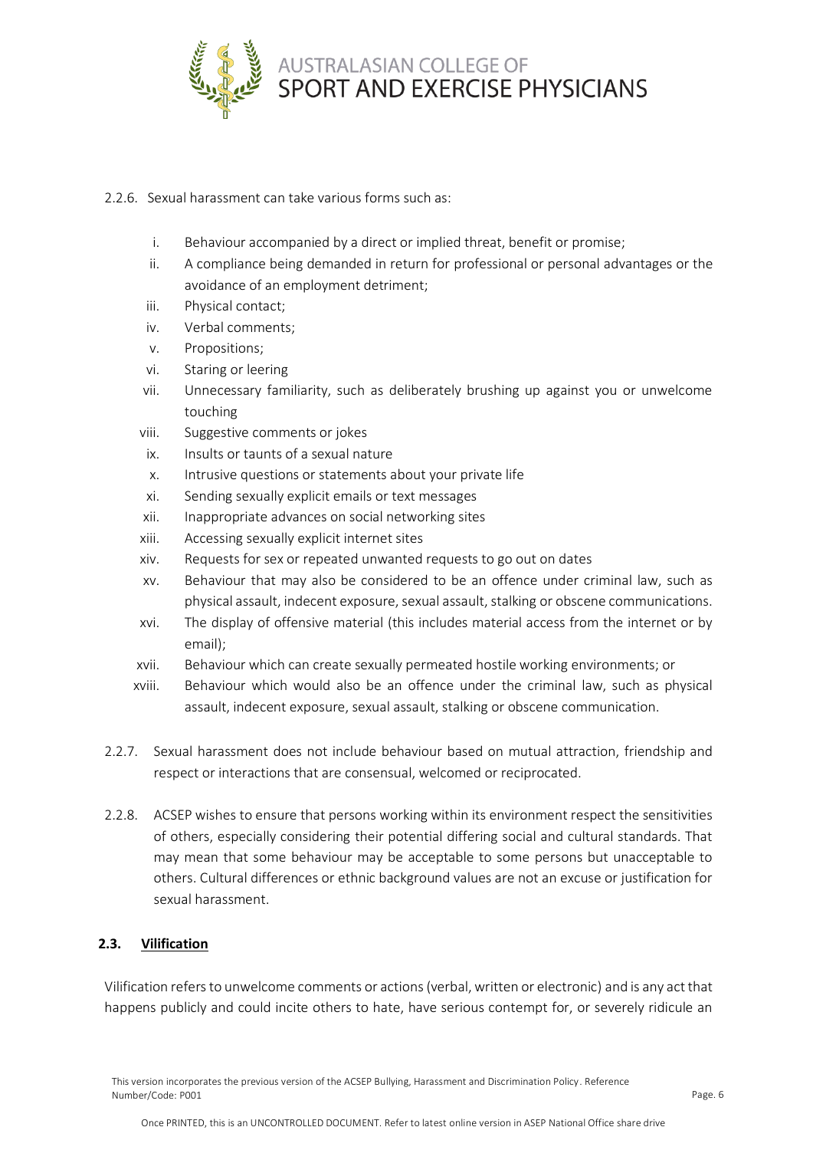

## 2.2.6. Sexual harassment can take various forms such as:

- i. Behaviour accompanied by a direct or implied threat, benefit or promise;
- ii. A compliance being demanded in return for professional or personal advantages or the avoidance of an employment detriment;
- iii. Physical contact;
- iv. Verbal comments;
- v. Propositions;
- vi. Staring or leering
- vii. Unnecessary familiarity, such as deliberately brushing up against you or unwelcome touching
- viii. Suggestive comments or jokes
- ix. Insults or taunts of a sexual nature
- x. Intrusive questions or statements about your private life
- xi. Sending sexually explicit emails or text messages
- xii. Inappropriate advances on social networking sites
- xiii. Accessing sexually explicit internet sites
- xiv. Requests for sex or repeated unwanted requests to go out on dates
- xv. Behaviour that may also be considered to be an offence under criminal law, such as physical assault, indecent exposure, sexual assault, stalking or obscene communications.
- xvi. The display of offensive material (this includes material access from the internet or by email);
- xvii. Behaviour which can create sexually permeated hostile working environments; or
- xviii. Behaviour which would also be an offence under the criminal law, such as physical assault, indecent exposure, sexual assault, stalking or obscene communication.
- 2.2.7. Sexual harassment does not include behaviour based on mutual attraction, friendship and respect or interactions that are consensual, welcomed or reciprocated.
- 2.2.8. ACSEP wishes to ensure that persons working within its environment respect the sensitivities of others, especially considering their potential differing social and cultural standards. That may mean that some behaviour may be acceptable to some persons but unacceptable to others. Cultural differences or ethnic background values are not an excuse or justification for sexual harassment.

## **2.3. Vilification**

Vilification refers to unwelcome comments or actions (verbal, written or electronic) and is any act that happens publicly and could incite others to hate, have serious contempt for, or severely ridicule an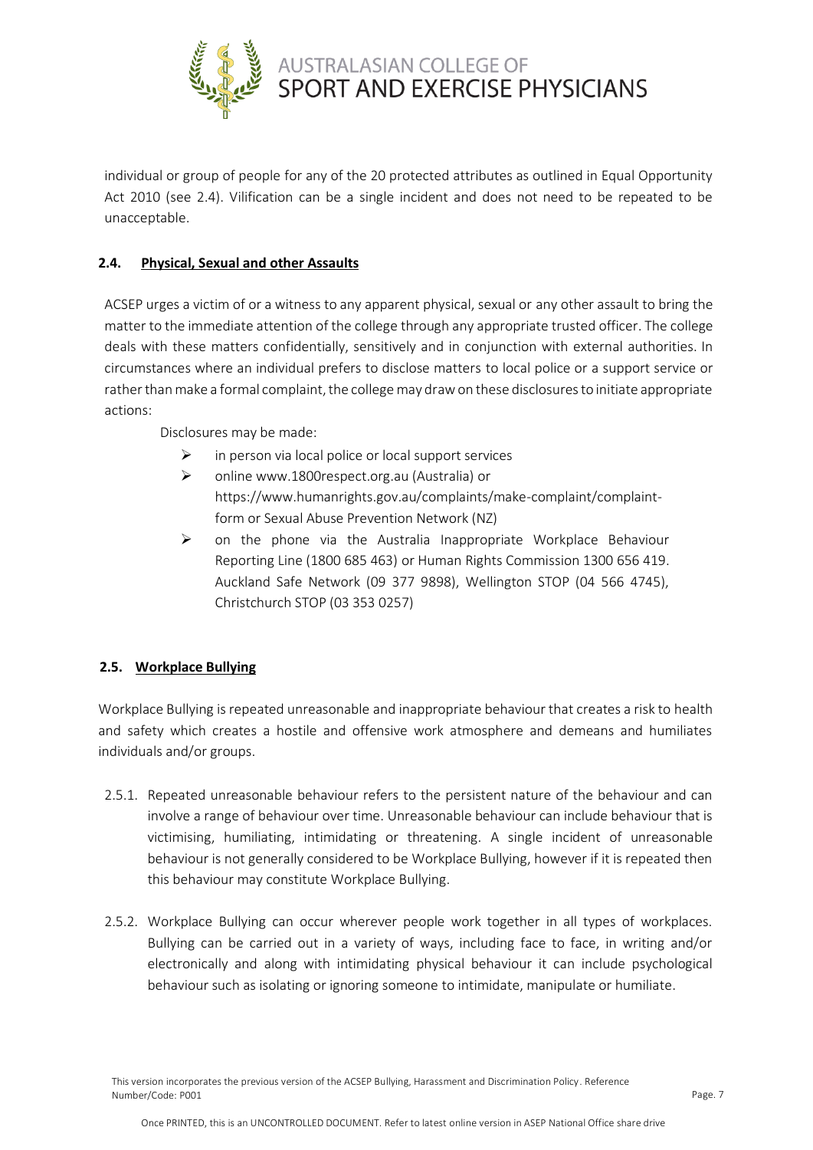

individual or group of people for any of the 20 protected attributes as outlined in Equal Opportunity Act 2010 (see 2.4). Vilification can be a single incident and does not need to be repeated to be unacceptable.

# **2.4. Physical, Sexual and other Assaults**

ACSEP urges a victim of or a witness to any apparent physical, sexual or any other assault to bring the matter to the immediate attention of the college through any appropriate trusted officer. The college deals with these matters confidentially, sensitively and in conjunction with external authorities. In circumstances where an individual prefers to disclose matters to local police or a support service or rather than make a formal complaint, the college may draw on these disclosures to initiate appropriate actions:

Disclosures may be made:

- $\triangleright$  in person via local police or local support services
- ➢ online www.1800respect.org.au (Australia) or https://www.humanrights.gov.au/complaints/make-complaint/complaintform or Sexual Abuse Prevention Network (NZ)
- $\triangleright$  on the phone via the Australia Inappropriate Workplace Behaviour Reporting Line (1800 685 463) or Human Rights Commission 1300 656 419. Auckland Safe Network (09 377 9898), Wellington STOP (04 566 4745), Christchurch STOP (03 353 0257)

## **2.5. Workplace Bullying**

Workplace Bullying is repeated unreasonable and inappropriate behaviour that creates a risk to health and safety which creates a hostile and offensive work atmosphere and demeans and humiliates individuals and/or groups.

- 2.5.1. Repeated unreasonable behaviour refers to the persistent nature of the behaviour and can involve a range of behaviour over time. Unreasonable behaviour can include behaviour that is victimising, humiliating, intimidating or threatening. A single incident of unreasonable behaviour is not generally considered to be Workplace Bullying, however if it is repeated then this behaviour may constitute Workplace Bullying.
- 2.5.2. Workplace Bullying can occur wherever people work together in all types of workplaces. Bullying can be carried out in a variety of ways, including face to face, in writing and/or electronically and along with intimidating physical behaviour it can include psychological behaviour such as isolating or ignoring someone to intimidate, manipulate or humiliate.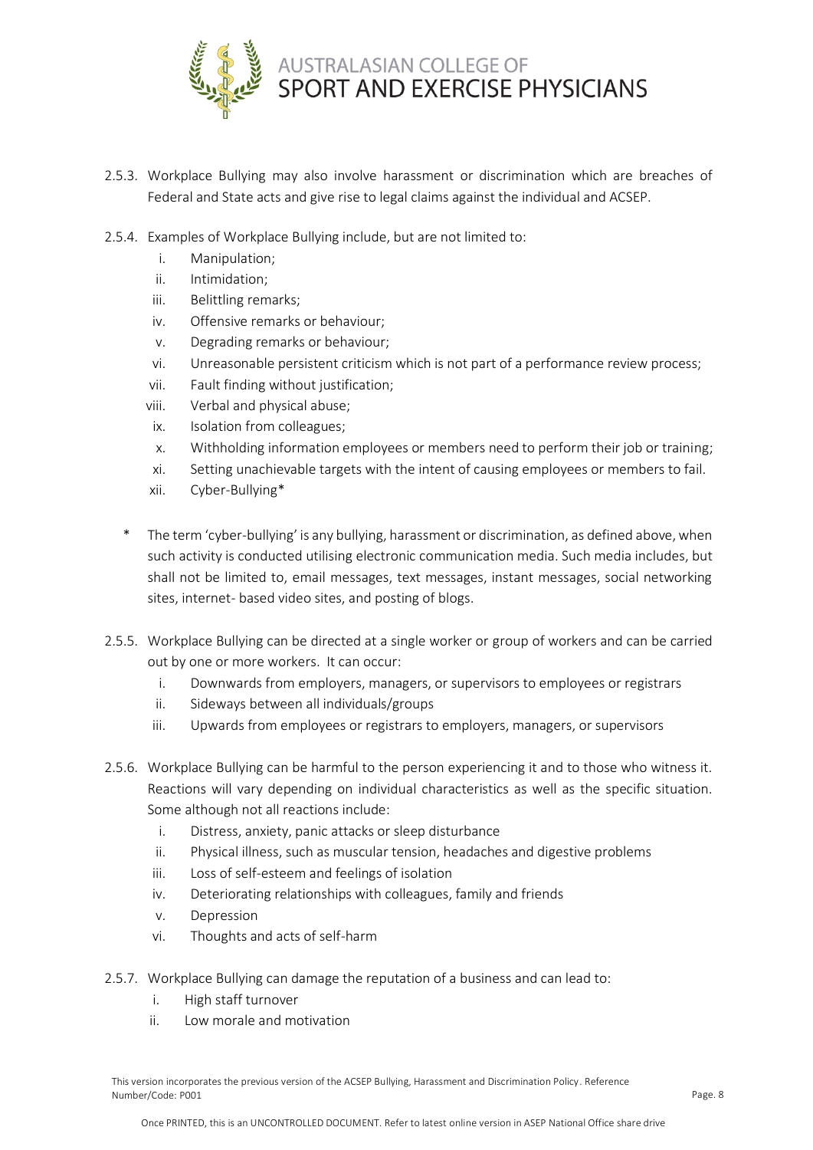

- 2.5.3. Workplace Bullying may also involve harassment or discrimination which are breaches of Federal and State acts and give rise to legal claims against the individual and ACSEP.
- 2.5.4. Examples of Workplace Bullying include, but are not limited to:
	- i. Manipulation;
	- ii. Intimidation;
	- iii. Belittling remarks;
	- iv. Offensive remarks or behaviour;
	- v. Degrading remarks or behaviour;
	- vi. Unreasonable persistent criticism which is not part of a performance review process;
	- vii. Fault finding without justification;
	- viii. Verbal and physical abuse;
	- ix. Isolation from colleagues;
	- x. Withholding information employees or members need to perform their job or training;
	- xi. Setting unachievable targets with the intent of causing employees or members to fail.
	- xii. Cyber-Bullying\*
	- The term 'cyber-bullying' is any bullying, harassment or discrimination, as defined above, when such activity is conducted utilising electronic communication media. Such media includes, but shall not be limited to, email messages, text messages, instant messages, social networking sites, internet- based video sites, and posting of blogs.
- 2.5.5. Workplace Bullying can be directed at a single worker or group of workers and can be carried out by one or more workers. It can occur:
	- i. Downwards from employers, managers, or supervisors to employees or registrars
	- ii. Sideways between all individuals/groups
	- iii. Upwards from employees or registrars to employers, managers, or supervisors
- 2.5.6. Workplace Bullying can be harmful to the person experiencing it and to those who witness it. Reactions will vary depending on individual characteristics as well as the specific situation. Some although not all reactions include:
	- i. Distress, anxiety, panic attacks or sleep disturbance
	- ii. Physical illness, such as muscular tension, headaches and digestive problems
	- iii. Loss of self-esteem and feelings of isolation
	- iv. Deteriorating relationships with colleagues, family and friends
	- v. Depression
	- vi. Thoughts and acts of self-harm
- 2.5.7. Workplace Bullying can damage the reputation of a business and can lead to:
	- i. High staff turnover
	- ii. Low morale and motivation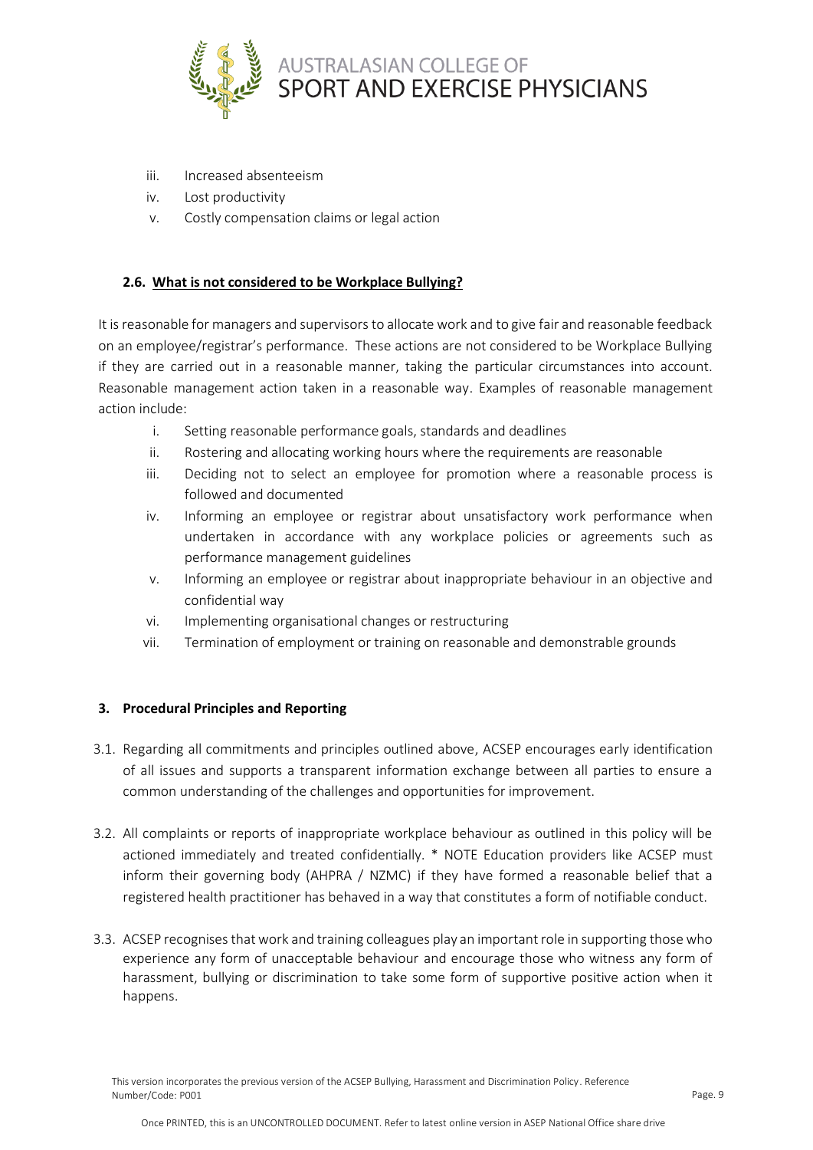

- iii. Increased absenteeism
- iv. Lost productivity
- v. Costly compensation claims or legal action

## **2.6. What is not considered to be Workplace Bullying?**

It is reasonable for managers and supervisors to allocate work and to give fair and reasonable feedback on an employee/registrar's performance. These actions are not considered to be Workplace Bullying if they are carried out in a reasonable manner, taking the particular circumstances into account. Reasonable management action taken in a reasonable way. Examples of reasonable management action include:

- i. Setting reasonable performance goals, standards and deadlines
- ii. Rostering and allocating working hours where the requirements are reasonable
- iii. Deciding not to select an employee for promotion where a reasonable process is followed and documented
- iv. Informing an employee or registrar about unsatisfactory work performance when undertaken in accordance with any workplace policies or agreements such as performance management guidelines
- v. Informing an employee or registrar about inappropriate behaviour in an objective and confidential way
- vi. Implementing organisational changes or restructuring
- vii. Termination of employment or training on reasonable and demonstrable grounds

#### **3. Procedural Principles and Reporting**

- 3.1. Regarding all commitments and principles outlined above, ACSEP encourages early identification of all issues and supports a transparent information exchange between all parties to ensure a common understanding of the challenges and opportunities for improvement.
- 3.2. All complaints or reports of inappropriate workplace behaviour as outlined in this policy will be actioned immediately and treated confidentially. \* NOTE Education providers like ACSEP must inform their governing body (AHPRA / NZMC) if they have formed a reasonable belief that a registered health practitioner has behaved in a way that constitutes a form of notifiable conduct.
- 3.3. ACSEP recognises that work and training colleagues play an important role in supporting those who experience any form of unacceptable behaviour and encourage those who witness any form of harassment, bullying or discrimination to take some form of supportive positive action when it happens.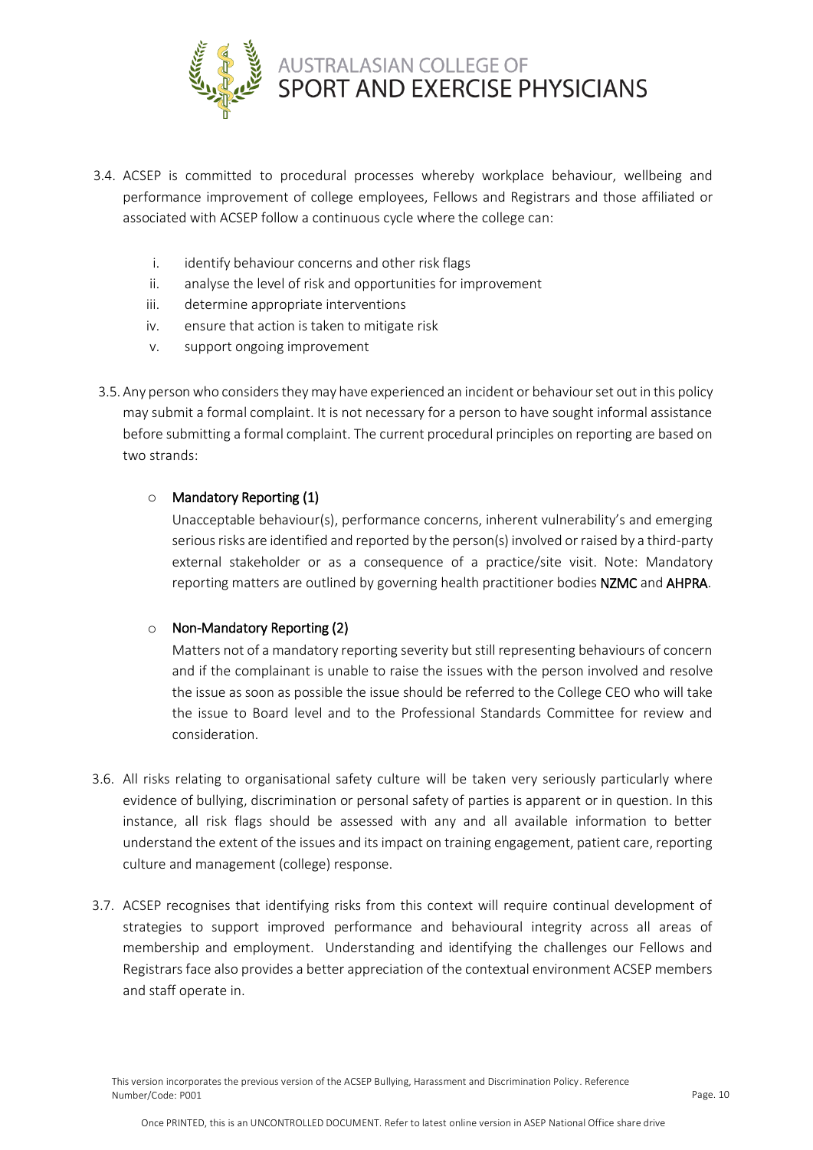

- 3.4. ACSEP is committed to procedural processes whereby workplace behaviour, wellbeing and performance improvement of college employees, Fellows and Registrars and those affiliated or associated with ACSEP follow a continuous cycle where the college can:
	- i. identify behaviour concerns and other risk flags
	- ii. analyse the level of risk and opportunities for improvement
	- iii. determine appropriate interventions
	- iv. ensure that action is taken to mitigate risk
	- v. support ongoing improvement
- 3.5. Any person who considers they may have experienced an incident or behaviour set out in this policy may submit a formal complaint. It is not necessary for a person to have sought informal assistance before submitting a formal complaint. The current procedural principles on reporting are based on two strands:

## o Mandatory Reporting (1)

Unacceptable behaviour(s), performance concerns, inherent vulnerability's and emerging serious risks are identified and reported by the person(s) involved or raised by a third-party external stakeholder or as a consequence of a practice/site visit. Note: Mandatory reporting matters are outlined by governing health practitioner bodies NZMC and AHPRA.

#### o Non-Mandatory Reporting (2)

Matters not of a mandatory reporting severity but still representing behaviours of concern and if the complainant is unable to raise the issues with the person involved and resolve the issue as soon as possible the issue should be referred to the College CEO who will take the issue to Board level and to the Professional Standards Committee for review and consideration.

- 3.6. All risks relating to organisational safety culture will be taken very seriously particularly where evidence of bullying, discrimination or personal safety of parties is apparent or in question. In this instance, all risk flags should be assessed with any and all available information to better understand the extent of the issues and its impact on training engagement, patient care, reporting culture and management (college) response.
- 3.7. ACSEP recognises that identifying risks from this context will require continual development of strategies to support improved performance and behavioural integrity across all areas of membership and employment. Understanding and identifying the challenges our Fellows and Registrars face also provides a better appreciation of the contextual environment ACSEP members and staff operate in.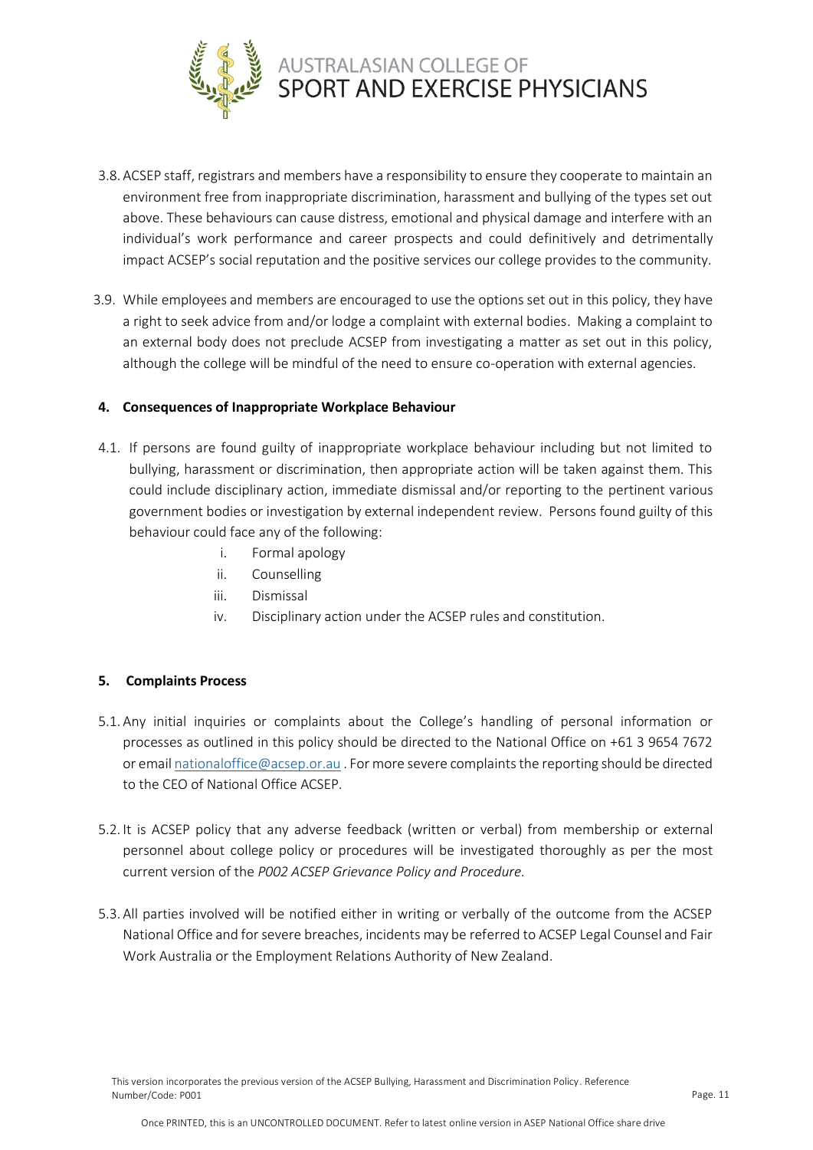

- 3.8. ACSEP staff, registrars and members have a responsibility to ensure they cooperate to maintain an environment free from inappropriate discrimination, harassment and bullying of the types set out above. These behaviours can cause distress, emotional and physical damage and interfere with an individual's work performance and career prospects and could definitively and detrimentally impact ACSEP's social reputation and the positive services our college provides to the community.
- 3.9. While employees and members are encouraged to use the options set out in this policy, they have a right to seek advice from and/or lodge a complaint with external bodies. Making a complaint to an external body does not preclude ACSEP from investigating a matter as set out in this policy, although the college will be mindful of the need to ensure co-operation with external agencies.

## **4. Consequences of Inappropriate Workplace Behaviour**

- 4.1. If persons are found guilty of inappropriate workplace behaviour including but not limited to bullying, harassment or discrimination, then appropriate action will be taken against them. This could include disciplinary action, immediate dismissal and/or reporting to the pertinent various government bodies or investigation by external independent review. Persons found guilty of this behaviour could face any of the following:
	- i. Formal apology
	- ii. Counselling
	- iii. Dismissal
	- iv. Disciplinary action under the ACSEP rules and constitution.

## **5. Complaints Process**

- 5.1. Any initial inquiries or complaints about the College's handling of personal information or processes as outlined in this policy should be directed to the National Office on +61 3 9654 7672 or email [nationaloffice@acsep.or.au](mailto:nationaloffice@acsep.or.au) . For more severe complaints the reporting should be directed to the CEO of National Office ACSEP.
- 5.2. It is ACSEP policy that any adverse feedback (written or verbal) from membership or external personnel about college policy or procedures will be investigated thoroughly as per the most current version of the *P002 ACSEP Grievance Policy and Procedure.*
- 5.3. All parties involved will be notified either in writing or verbally of the outcome from the ACSEP National Office and for severe breaches, incidents may be referred to ACSEP Legal Counsel and Fair Work Australia or the Employment Relations Authority of New Zealand.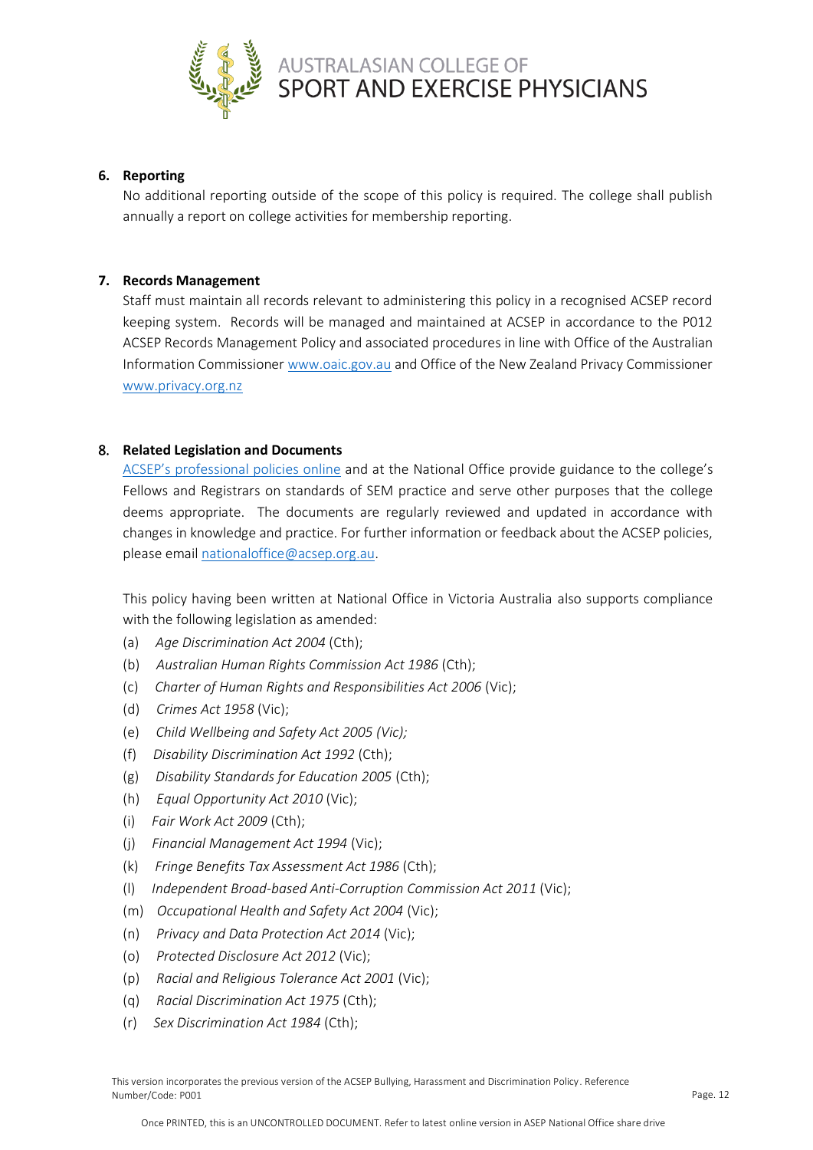

#### **6. Reporting**

No additional reporting outside of the scope of this policy is required. The college shall publish annually a report on college activities for membership reporting.

#### **7. Records Management**

Staff must maintain all records relevant to administering this policy in a recognised ACSEP record keeping system. Records will be managed and maintained at ACSEP in accordance to the P012 ACSEP Records Management Policy and associated procedures in line with Office of the Australian Information Commissione[r www.oaic.gov.au](http://www.oaic.gov.au/) and Office of the New Zealand Privacy Commissioner [www.privacy.org.nz](http://www.privacy.org.nz/)

## 8. **Related Legislation and Documents**

[ACSEP's professional polici](https://www.acsep.org.au/page/about/acsep-governance/acsep-policies)es online and at the National Office provide guidance to the college's Fellows and Registrars on standards of SEM practice and serve other purposes that the college deems appropriate. The documents are regularly reviewed and updated in accordance with changes in knowledge and practice. For further information or feedback about the ACSEP policies, please email [nationaloffice@acsep.org.au.](mailto:nationaloffice@acsep.org.au)

This policy having been written at National Office in Victoria Australia also supports compliance with the following legislation as amended:

- (a) *Age Discrimination Act 2004* (Cth);
- (b) *Australian Human Rights Commission Act 1986* (Cth);
- (c) *Charter of Human Rights and Responsibilities Act 2006* (Vic);
- (d) *Crimes Act 1958* (Vic);
- (e) *Child Wellbeing and Safety Act 2005 (Vic);*
- (f) *Disability Discrimination Act 1992* (Cth);
- (g) *Disability Standards for Education 2005* (Cth);
- (h) *Equal Opportunity Act 2010* (Vic);
- (i) *Fair Work Act 2009* (Cth);
- (j) *Financial Management Act 1994* (Vic);
- (k) *Fringe Benefits Tax Assessment Act 1986* (Cth);
- (l) *Independent Broad-based Anti-Corruption Commission Act 2011* (Vic);
- (m) *Occupational Health and Safety Act 2004* (Vic);
- (n) *Privacy and Data Protection Act 2014* (Vic);
- (o) *Protected Disclosure Act 2012* (Vic);
- (p) *Racial and Religious Tolerance Act 2001* (Vic);
- (q) *Racial Discrimination Act 1975* (Cth);
- (r) *Sex Discrimination Act 1984* (Cth);